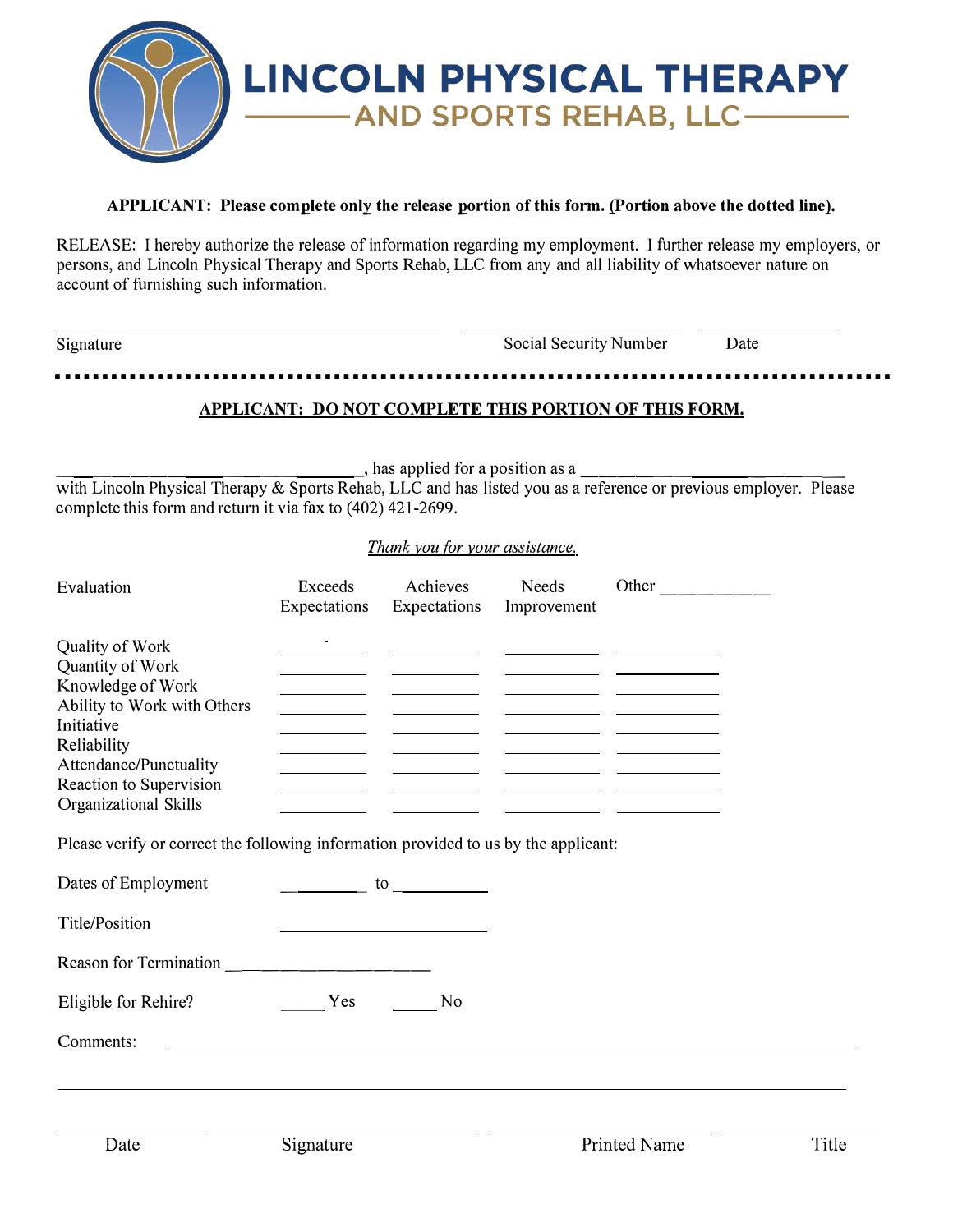

#### **APPLICANT: Please complete only the release portion of this form. (Portion above the dotted line).**

RELEASE: I hereby authorize the release of information regarding my employment. I further release my employers, or persons, and Lincoln Physical Therapy and Sports Rehab, LLC from any and all liability of whatsoever nature on account of furnishing such information.

| Signature |                                                              | <b>Social Security Number</b> | Date |
|-----------|--------------------------------------------------------------|-------------------------------|------|
|           |                                                              |                               |      |
|           | <b>APPLICANT: DO NOT COMPLETE THIS PORTION OF THIS FORM.</b> |                               |      |

 $\frac{1}{\sqrt{1-\frac{1}{2}}}\frac{1}{\sqrt{1-\frac{1}{2}}}\frac{1}{\sqrt{1-\frac{1}{2}}}\frac{1}{\sqrt{1-\frac{1}{2}}}\frac{1}{\sqrt{1-\frac{1}{2}}}\frac{1}{\sqrt{1-\frac{1}{2}}}\frac{1}{\sqrt{1-\frac{1}{2}}}\frac{1}{\sqrt{1-\frac{1}{2}}}\frac{1}{\sqrt{1-\frac{1}{2}}}\frac{1}{\sqrt{1-\frac{1}{2}}}\frac{1}{\sqrt{1-\frac{1}{2}}}\frac{1}{\sqrt{1-\frac{1}{2}}}\frac{1}{\sqrt{1-\frac{1}{2}}}\frac{1}{\sqrt{1-\frac{$ 

with Lincoln Physical Therapy & Sports Rehab, LLC and has listed you as a reference or previous employer. Please complete this form and return it via fax to (402) 421-2699.

#### *Thank you for your assistance.*

| Evaluation                                                                                                                                                                                                                                                                                | Exceeds<br>Expectations | Achieves<br>Expectations                                                                                       | Needs<br>Improvement | Other               |       |
|-------------------------------------------------------------------------------------------------------------------------------------------------------------------------------------------------------------------------------------------------------------------------------------------|-------------------------|----------------------------------------------------------------------------------------------------------------|----------------------|---------------------|-------|
| Quality of Work<br>Quantity of Work<br>Knowledge of Work<br>Ability to Work with Others<br>Initiative<br>Reliability<br>Attendance/Punctuality<br>Reaction to Supervision<br>Organizational Skills<br>Please verify or correct the following information provided to us by the applicant: |                         | <u> 1990 - John Barn Barn, p</u><br>the control of the control of the<br>the control of the control of         |                      |                     |       |
| Dates of Employment                                                                                                                                                                                                                                                                       |                         | to the state of the state of the state of the state of the state of the state of the state of the state of the |                      |                     |       |
| Title/Position                                                                                                                                                                                                                                                                            |                         |                                                                                                                |                      |                     |       |
|                                                                                                                                                                                                                                                                                           |                         |                                                                                                                |                      |                     |       |
| Eligible for Rehire?                                                                                                                                                                                                                                                                      | Yes                     | N <sub>0</sub>                                                                                                 |                      |                     |       |
| Comments:                                                                                                                                                                                                                                                                                 |                         |                                                                                                                |                      |                     |       |
| Date                                                                                                                                                                                                                                                                                      | Signature               |                                                                                                                |                      | <b>Printed Name</b> | Title |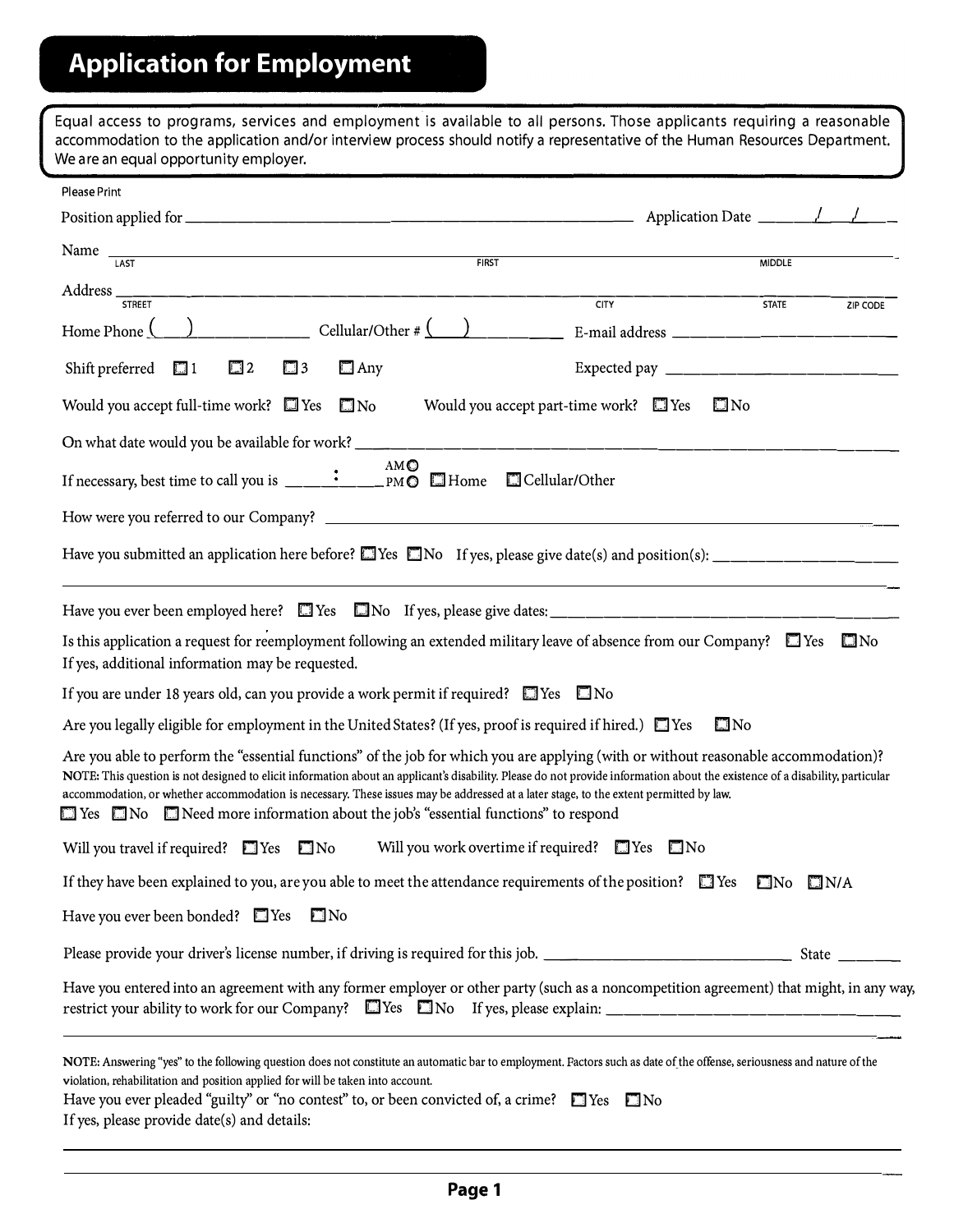| Equal access to programs, services and employment is available to all persons. Those applicants requiring a reasonable<br>accommodation to the application and/or interview process should notify a representative of the Human Resources Department.<br>We are an equal opportunity employer.                                                                                                                                                                                                                                                      |                                       |
|-----------------------------------------------------------------------------------------------------------------------------------------------------------------------------------------------------------------------------------------------------------------------------------------------------------------------------------------------------------------------------------------------------------------------------------------------------------------------------------------------------------------------------------------------------|---------------------------------------|
| Please Print                                                                                                                                                                                                                                                                                                                                                                                                                                                                                                                                        |                                       |
|                                                                                                                                                                                                                                                                                                                                                                                                                                                                                                                                                     |                                       |
| Name $\frac{1}{\sqrt{2}}$<br><b>FIRST</b>                                                                                                                                                                                                                                                                                                                                                                                                                                                                                                           | <b>MIDDLE</b>                         |
| <b>CITY</b>                                                                                                                                                                                                                                                                                                                                                                                                                                                                                                                                         | <b>STATE</b><br>ZIP CODE              |
| Home Phone $\left(\begin{array}{c c} \end{array}\right)$ Cellular/Other # $\left(\begin{array}{c c} \end{array}\right)$ E-mail address _________________                                                                                                                                                                                                                                                                                                                                                                                            |                                       |
| $\square$ 2<br>Shift preferred $\Box$ 1<br>$\square$ 3<br>$\Box$ Any                                                                                                                                                                                                                                                                                                                                                                                                                                                                                | Expected pay ________________________ |
| Would you accept part-time work? $\Box$ Yes<br>Would you accept full-time work? Nes Mo                                                                                                                                                                                                                                                                                                                                                                                                                                                              | $\square$ No                          |
|                                                                                                                                                                                                                                                                                                                                                                                                                                                                                                                                                     |                                       |
| AMO                                                                                                                                                                                                                                                                                                                                                                                                                                                                                                                                                 |                                       |
|                                                                                                                                                                                                                                                                                                                                                                                                                                                                                                                                                     |                                       |
| Have you submitted an application here before? $\square$ Yes $\square$ No If yes, please give date(s) and position(s): _______________________                                                                                                                                                                                                                                                                                                                                                                                                      |                                       |
|                                                                                                                                                                                                                                                                                                                                                                                                                                                                                                                                                     |                                       |
| Is this application a request for reemployment following an extended military leave of absence from our Company? $\square$ Yes $\square$ No<br>If yes, additional information may be requested.                                                                                                                                                                                                                                                                                                                                                     |                                       |
| If you are under 18 years old, can you provide a work permit if required? $\Box$ Yes $\Box$ No                                                                                                                                                                                                                                                                                                                                                                                                                                                      |                                       |
| Are you legally eligible for employment in the United States? (If yes, proof is required if hired.) $\Box$ Yes                                                                                                                                                                                                                                                                                                                                                                                                                                      | $\square$ No                          |
| Are you able to perform the "essential functions" of the job for which you are applying (with or without reasonable accommodation)?<br>NOTE: This question is not designed to elicit information about an applicant's disability. Please do not provide information about the existence of a disability, particular<br>accommodation, or whether accommodation is necessary. These issues may be addressed at a later stage, to the extent permitted by law.<br>□ Yes □ No □ Need more information about the job's "essential functions" to respond |                                       |
| Will you travel if required? $\Box$ Yes $\Box$ No<br>Will you work overtime if required? $\Box$ Yes $\Box$ No                                                                                                                                                                                                                                                                                                                                                                                                                                       |                                       |
| If they have been explained to you, are you able to meet the attendance requirements of the position? $\Box$ Yes $\Box$ No $\Box$ N/A                                                                                                                                                                                                                                                                                                                                                                                                               |                                       |
| Have you ever been bonded? $\Box$ Yes<br>$\square$ No                                                                                                                                                                                                                                                                                                                                                                                                                                                                                               |                                       |
|                                                                                                                                                                                                                                                                                                                                                                                                                                                                                                                                                     |                                       |
| Have you entered into an agreement with any former employer or other party (such as a noncompetition agreement) that might, in any way,<br>restrict your ability to work for our Company? Thes Tho If yes, please explain: ____________________                                                                                                                                                                                                                                                                                                     |                                       |
| NOTE: Answering "yes" to the following question does not constitute an automatic bar to employment. Factors such as date of the offense, seriousness and nature of the<br>violation, rehabilitation and position applied for will be taken into account.<br>Have you ever pleaded "guilty" or "no contest" to, or been convicted of, a crime? Thes Tho<br>If yes, please provide date(s) and details:                                                                                                                                               |                                       |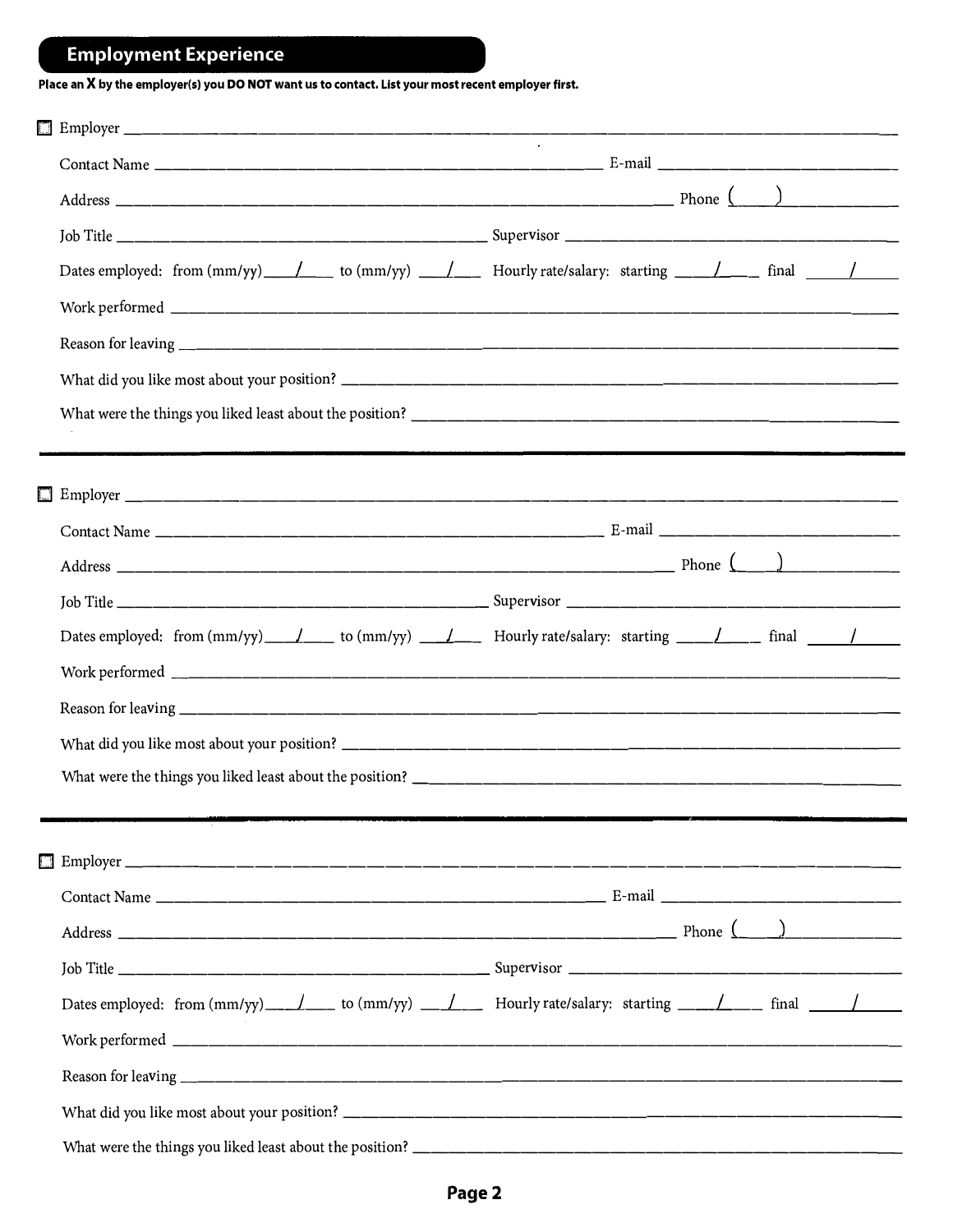# **Employment Experience**

**Place an X by the employer(s) you DO NOT want us to contact. List your most recent employer first.** 

| Dates employed: from $(\text{mm/yy})$ / to $(\text{mm/yy})$ / Hourly rate/salary: starting / / final / /                                                                                                                             |  |  |
|--------------------------------------------------------------------------------------------------------------------------------------------------------------------------------------------------------------------------------------|--|--|
|                                                                                                                                                                                                                                      |  |  |
|                                                                                                                                                                                                                                      |  |  |
|                                                                                                                                                                                                                                      |  |  |
|                                                                                                                                                                                                                                      |  |  |
|                                                                                                                                                                                                                                      |  |  |
|                                                                                                                                                                                                                                      |  |  |
|                                                                                                                                                                                                                                      |  |  |
|                                                                                                                                                                                                                                      |  |  |
|                                                                                                                                                                                                                                      |  |  |
| Dates employed: from $(\text{mm/yy})$ $\angle$ to $(\text{mm/yy})$ $\angle$ Hourly rate/salary: starting $\angle$ $\angle$ final $\angle$                                                                                            |  |  |
|                                                                                                                                                                                                                                      |  |  |
|                                                                                                                                                                                                                                      |  |  |
|                                                                                                                                                                                                                                      |  |  |
|                                                                                                                                                                                                                                      |  |  |
|                                                                                                                                                                                                                                      |  |  |
|                                                                                                                                                                                                                                      |  |  |
|                                                                                                                                                                                                                                      |  |  |
|                                                                                                                                                                                                                                      |  |  |
|                                                                                                                                                                                                                                      |  |  |
| Dates employed: from $\text{(mm/yy)}$ $\frac{1}{\sqrt{1-\frac{1}{2}}}\$ to $\text{(mm/yy)}$ $\frac{1}{\sqrt{1-\frac{1}{2}}}\$ Hourly rate/salary: starting $\frac{1}{\sqrt{1-\frac{1}{2}}}\$ final $\frac{1}{\sqrt{1-\frac{1}{2}}}\$ |  |  |
|                                                                                                                                                                                                                                      |  |  |
|                                                                                                                                                                                                                                      |  |  |
|                                                                                                                                                                                                                                      |  |  |
|                                                                                                                                                                                                                                      |  |  |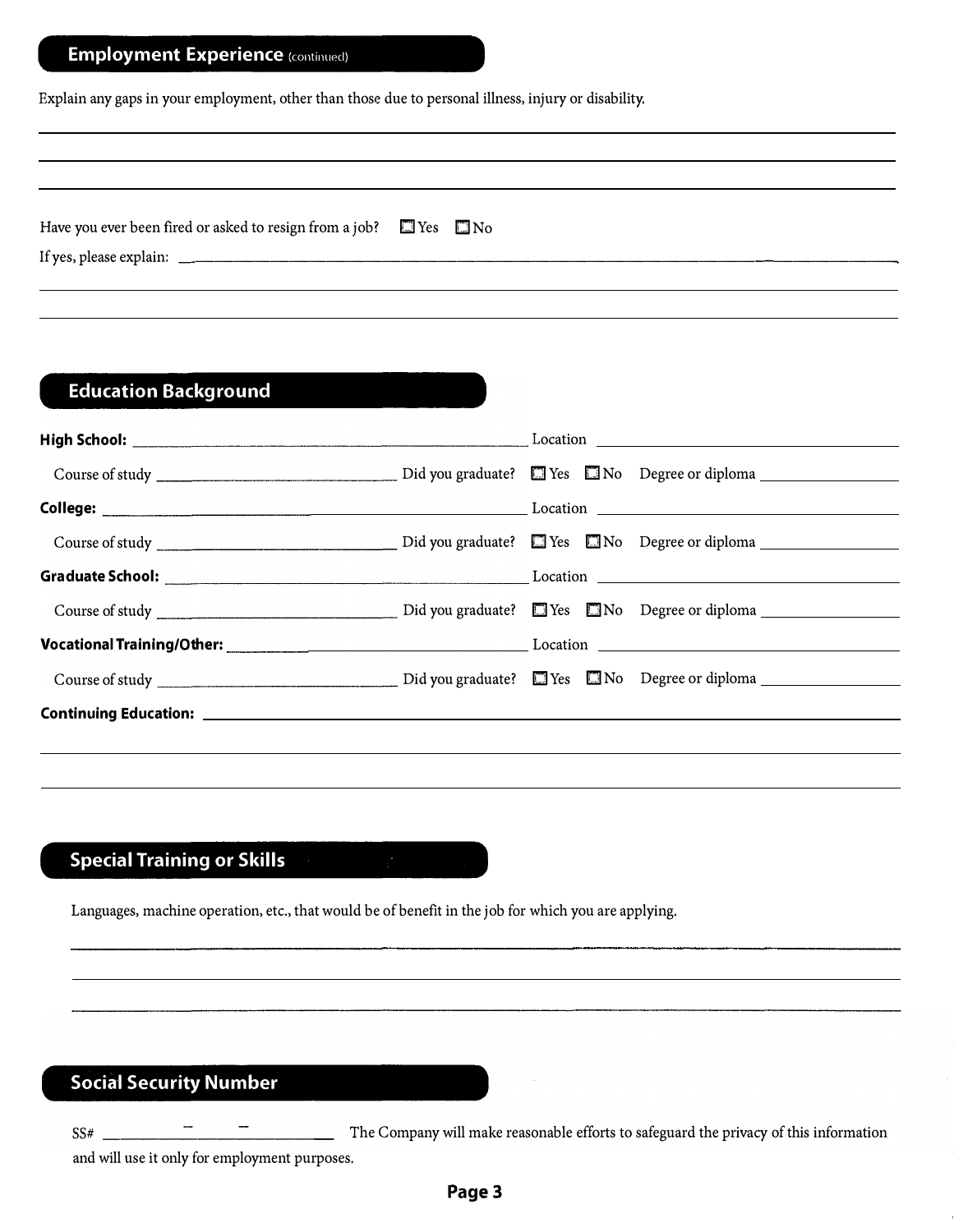## **Employment Experience (continued)**

Explain any gaps in your employment, other than those due to personal illness, injury or disability.

| Have you ever been fired or asked to resign from a job? $\Box$ Yes $\Box$ No |  |
|------------------------------------------------------------------------------|--|
|                                                                              |  |
|                                                                              |  |

### **Education Background**

## **Special Training or Skills**

Languages, machine operation, etc., that would be of benefit in the job for which you are applying.

### **Social Security Number**

SS# \_\_\_\_\_\_\_\_\_\_\_ \_ The Company will make reasonable efforts to safeguard the privacy of this information

and will use it only for employment purposes.